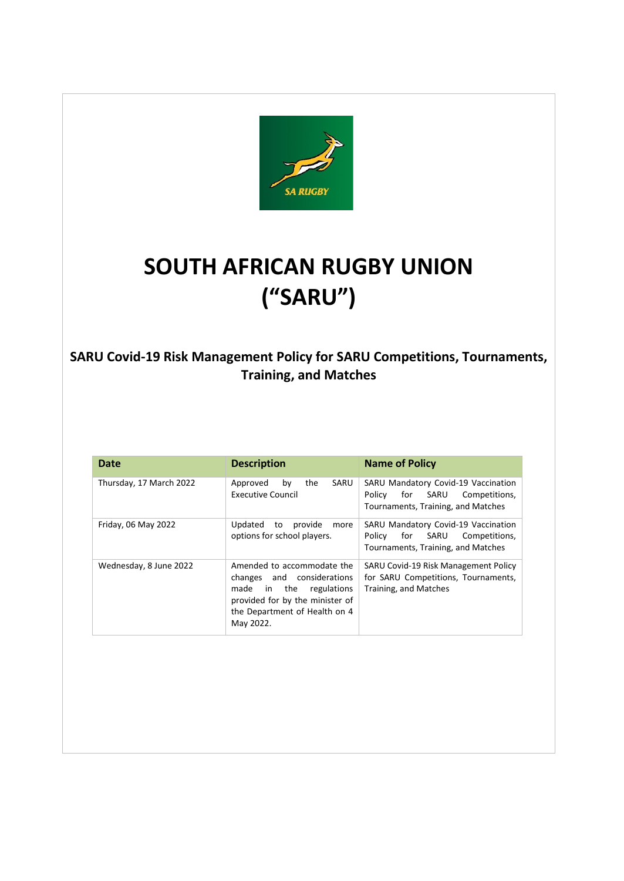

# **SOUTH AFRICAN RUGBY UNION ("SARU")**

### **SARU Covid-19 Risk Management Policy for SARU Competitions, Tournaments, Training, and Matches**

| <b>Date</b>             | <b>Description</b>                                                                                                                                                      | <b>Name of Policy</b>                                                                                               |
|-------------------------|-------------------------------------------------------------------------------------------------------------------------------------------------------------------------|---------------------------------------------------------------------------------------------------------------------|
| Thursday, 17 March 2022 | SARU<br>Approved<br>the<br>by<br><b>Executive Council</b>                                                                                                               | SARU Mandatory Covid-19 Vaccination<br>Policy<br>for<br>SARU<br>Competitions,<br>Tournaments, Training, and Matches |
| Friday, 06 May 2022     | Updated<br>provide<br>to<br>more<br>options for school players.                                                                                                         | SARU Mandatory Covid-19 Vaccination<br>SARU<br>Competitions,<br>Policy<br>for<br>Tournaments, Training, and Matches |
| Wednesday, 8 June 2022  | Amended to accommodate the<br>changes and considerations<br>made in the<br>regulations<br>provided for by the minister of<br>the Department of Health on 4<br>May 2022. | SARU Covid-19 Risk Management Policy<br>for SARU Competitions, Tournaments,<br>Training, and Matches                |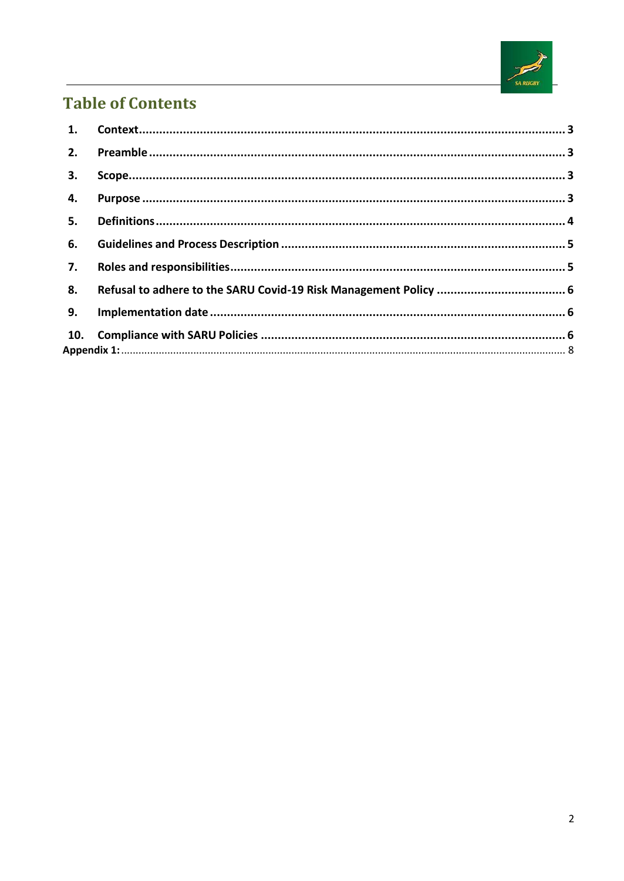

## **Table of Contents**

| 1.  |  |
|-----|--|
| 2.  |  |
| 3.  |  |
| 4.  |  |
| 5.  |  |
| 6.  |  |
| 7.  |  |
| 8.  |  |
| 9.  |  |
| 10. |  |
|     |  |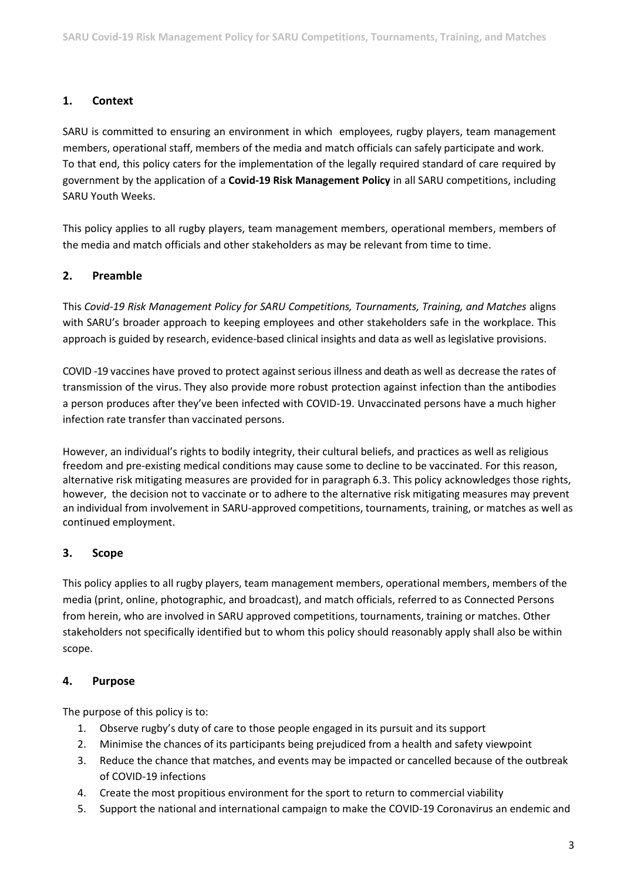#### <span id="page-2-0"></span>**1. Context**

SARU is committed to ensuring an environment in which employees, rugby players, team management members, operational staff, members of the media and match officials can safely participate and work. To that end, this policy caters for the implementation of the legally required standard of care required by government by the application of a **Covid-19 Risk Management Policy** in all SARU competitions, including SARU Youth Weeks.

This policy applies to all rugby players, team management members, operational members, members of the media and match officials and other stakeholders as may be relevant from time to time.

#### <span id="page-2-1"></span>**2. Preamble**

This *Covid-19 Risk Management Policy for SARU Competitions, Tournaments, Training, and Matches* aligns with SARU's broader approach to keeping employees and other stakeholders safe in the workplace. This approach is guided by research, evidence-based clinical insights and data as well as legislative provisions.

COVID -19 vaccines have proved to protect against serious illness and death as well as decrease the rates of transmission of the virus. They also provide more robust protection against infection than the antibodies a person produces after they've been infected with COVID-19. Unvaccinated persons have a much higher infection rate transfer than vaccinated persons.

However, an individual's rights to bodily integrity, their cultural beliefs, and practices as well as religious freedom and pre-existing medical conditions may cause some to decline to be vaccinated. For this reason, alternative risk mitigating measures are provided for in paragraph 6.3. This policy acknowledges those rights, however, the decision not to vaccinate or to adhere to the alternative risk mitigating measures may prevent an individual from involvement in SARU-approved competitions, tournaments, training, or matches as well as continued employment.

#### <span id="page-2-2"></span>**3. Scope**

This policy applies to all rugby players, team management members, operational members, members of the media (print, online, photographic, and broadcast), and match officials, referred to as Connected Persons from herein, who are involved in SARU approved competitions, tournaments, training or matches. Other stakeholders not specifically identified but to whom this policy should reasonably apply shall also be within scope.

#### <span id="page-2-3"></span>**4. Purpose**

The purpose of this policy is to:

- 1. Observe rugby's duty of care to those people engaged in its pursuit and its support
- 2. Minimise the chances of its participants being prejudiced from a health and safety viewpoint
- 3. Reduce the chance that matches, and events may be impacted or cancelled because of the outbreak of COVID-19 infections
- 4. Create the most propitious environment for the sport to return to commercial viability
- 5. Support the national and international campaign to make the COVID-19 Coronavirus an endemic and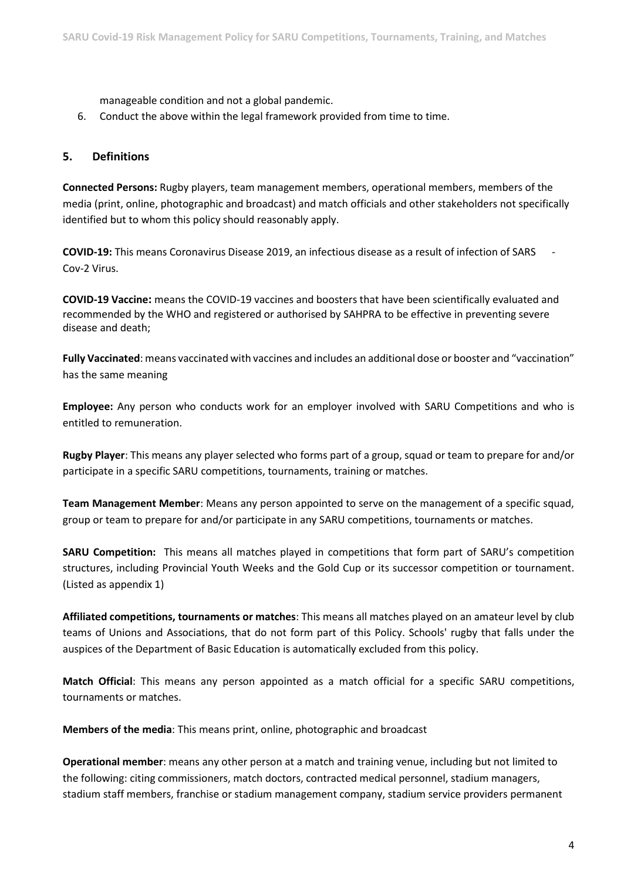manageable condition and not a global pandemic.

6. Conduct the above within the legal framework provided from time to time.

#### <span id="page-3-0"></span>**5. Definitions**

**Connected Persons:** Rugby players, team management members, operational members, members of the media (print, online, photographic and broadcast) and match officials and other stakeholders not specifically identified but to whom this policy should reasonably apply.

**COVID-19:** This means Coronavirus Disease 2019, an infectious disease as a result of infection of SARS - Cov-2 Virus.

**COVID-19 Vaccine:** means the COVID-19 vaccines and boosters that have been scientifically evaluated and recommended by the WHO and registered or authorised by SAHPRA to be effective in preventing severe disease and death;

**Fully Vaccinated**: means vaccinated with vaccines and includes an additional dose or booster and "vaccination" has the same meaning

**Employee:** Any person who conducts work for an employer involved with SARU Competitions and who is entitled to remuneration.

**Rugby Player**: This means any player selected who forms part of a group, squad or team to prepare for and/or participate in a specific SARU competitions, tournaments, training or matches.

**Team Management Member**: Means any person appointed to serve on the management of a specific squad, group or team to prepare for and/or participate in any SARU competitions, tournaments or matches.

**SARU Competition:** This means all matches played in competitions that form part of SARU's competition structures, including Provincial Youth Weeks and the Gold Cup or its successor competition or tournament. (Listed as appendix 1)

**Affiliated competitions, tournaments or matches**: This means all matches played on an amateur level by club teams of Unions and Associations, that do not form part of this Policy. Schools' rugby that falls under the auspices of the Department of Basic Education is automatically excluded from this policy.

**Match Official**: This means any person appointed as a match official for a specific SARU competitions, tournaments or matches.

**Members of the media**: This means print, online, photographic and broadcast

**Operational member**: means any other person at a match and training venue, including but not limited to the following: citing commissioners, match doctors, contracted medical personnel, stadium managers, stadium staff members, franchise or stadium management company, stadium service providers permanent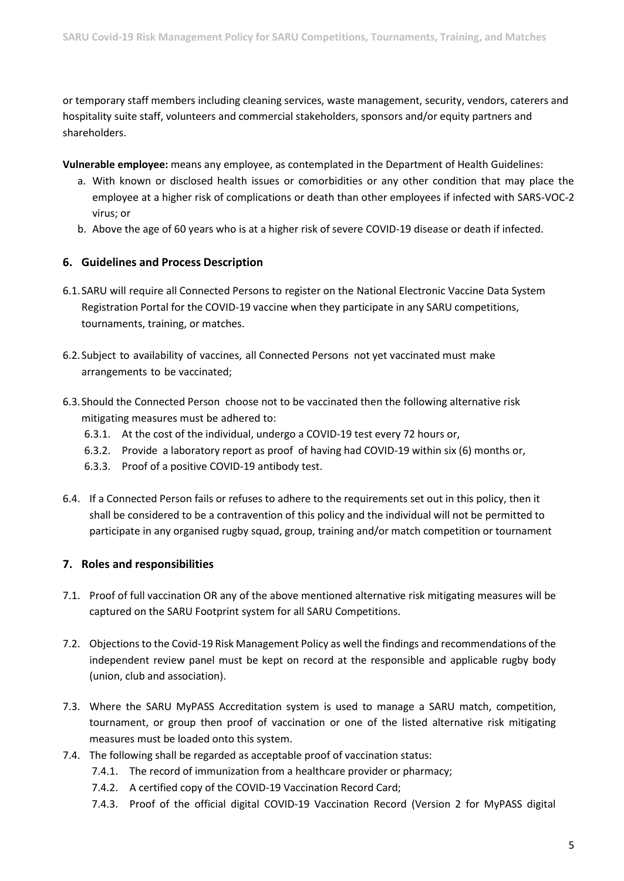or temporary staff members including cleaning services, waste management, security, vendors, caterers and hospitality suite staff, volunteers and commercial stakeholders, sponsors and/or equity partners and shareholders.

**Vulnerable employee:** means any employee, as contemplated in the Department of Health Guidelines:

- a. With known or disclosed health issues or comorbidities or any other condition that may place the employee at a higher risk of complications or death than other employees if infected with SARS-VOC-2 virus; or
- b. Above the age of 60 years who is at a higher risk of severe COVID-19 disease or death if infected.

#### <span id="page-4-0"></span>**6. Guidelines and Process Description**

- 6.1.SARU will require all Connected Persons to register on the National Electronic Vaccine Data System Registration Portal for the COVID-19 vaccine when they participate in any SARU competitions, tournaments, training, or matches.
- 6.2.Subject to availability of vaccines, all Connected Persons not yet vaccinated must make arrangements to be vaccinated;
- 6.3.Should the Connected Person choose not to be vaccinated then the following alternative risk mitigating measures must be adhered to:
	- 6.3.1. At the cost of the individual, undergo a COVID-19 test every 72 hours or,
	- 6.3.2. Provide a laboratory report as proof of having had COVID-19 within six (6) months or,
	- 6.3.3. Proof of a positive COVID-19 antibody test.
- 6.4. If a Connected Person fails or refuses to adhere to the requirements set out in this policy, then it shall be considered to be a contravention of this policy and the individual will not be permitted to participate in any organised rugby squad, group, training and/or match competition or tournament

#### <span id="page-4-1"></span>**7. Roles and responsibilities**

- 7.1. Proof of full vaccination OR any of the above mentioned alternative risk mitigating measures will be captured on the SARU Footprint system for all SARU Competitions.
- 7.2. Objections to the Covid-19 Risk Management Policy as well the findings and recommendations of the independent review panel must be kept on record at the responsible and applicable rugby body (union, club and association).
- 7.3. Where the SARU MyPASS Accreditation system is used to manage a SARU match, competition, tournament, or group then proof of vaccination or one of the listed alternative risk mitigating measures must be loaded onto this system.
- 7.4. The following shall be regarded as acceptable proof of vaccination status:
	- 7.4.1. The record of immunization from a healthcare provider or pharmacy;
	- 7.4.2. A certified copy of the COVID-19 Vaccination Record Card;
	- 7.4.3. Proof of the official digital COVID-19 Vaccination Record (Version 2 for MyPASS digital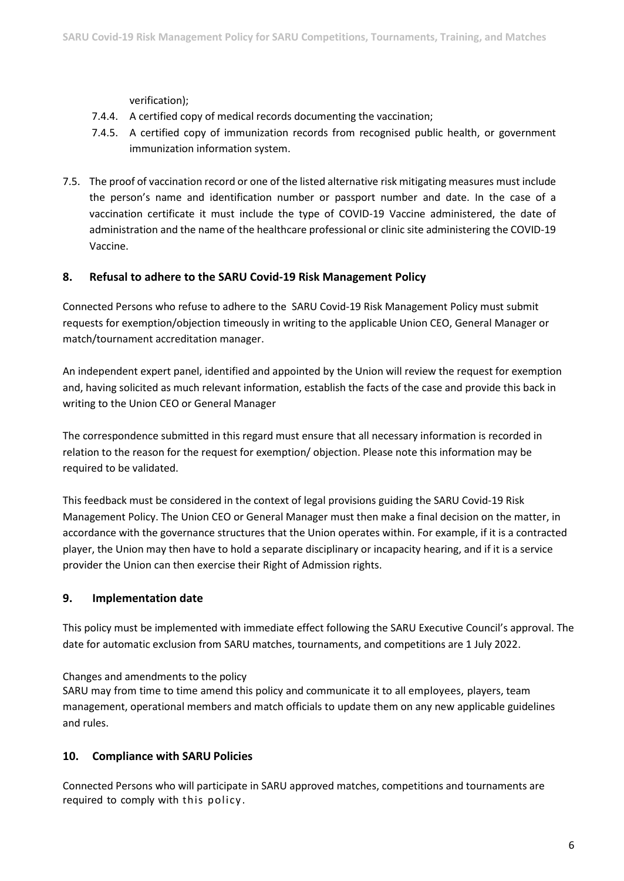verification);

- 7.4.4. A certified copy of medical records documenting the vaccination;
- 7.4.5. A certified copy of immunization records from recognised public health, or government immunization information system.
- 7.5. The proof of vaccination record or one of the listed alternative risk mitigating measures must include the person's name and identification number or passport number and date. In the case of a vaccination certificate it must include the type of COVID-19 Vaccine administered, the date of administration and the name of the healthcare professional or clinic site administering the COVID-19 Vaccine.

#### <span id="page-5-0"></span>**8. Refusal to adhere to the SARU Covid-19 Risk Management Policy**

Connected Persons who refuse to adhere to the SARU Covid-19 Risk Management Policy must submit requests for exemption/objection timeously in writing to the applicable Union CEO, General Manager or match/tournament accreditation manager.

An independent expert panel, identified and appointed by the Union will review the request for exemption and, having solicited as much relevant information, establish the facts of the case and provide this back in writing to the Union CEO or General Manager

The correspondence submitted in this regard must ensure that all necessary information is recorded in relation to the reason for the request for exemption/ objection. Please note this information may be required to be validated.

This feedback must be considered in the context of legal provisions guiding the SARU Covid-19 Risk Management Policy. The Union CEO or General Manager must then make a final decision on the matter, in accordance with the governance structures that the Union operates within. For example, if it is a contracted player, the Union may then have to hold a separate disciplinary or incapacity hearing, and if it is a service provider the Union can then exercise their Right of Admission rights.

#### <span id="page-5-1"></span>**9. Implementation date**

This policy must be implemented with immediate effect following the SARU Executive Council's approval. The date for automatic exclusion from SARU matches, tournaments, and competitions are 1 July 2022.

Changes and amendments to the policy

SARU may from time to time amend this policy and communicate it to all employees, players, team management, operational members and match officials to update them on any new applicable guidelines and rules.

#### <span id="page-5-2"></span>**10. Compliance with SARU Policies**

Connected Persons who will participate in SARU approved matches, competitions and tournaments are required to comply with this policy .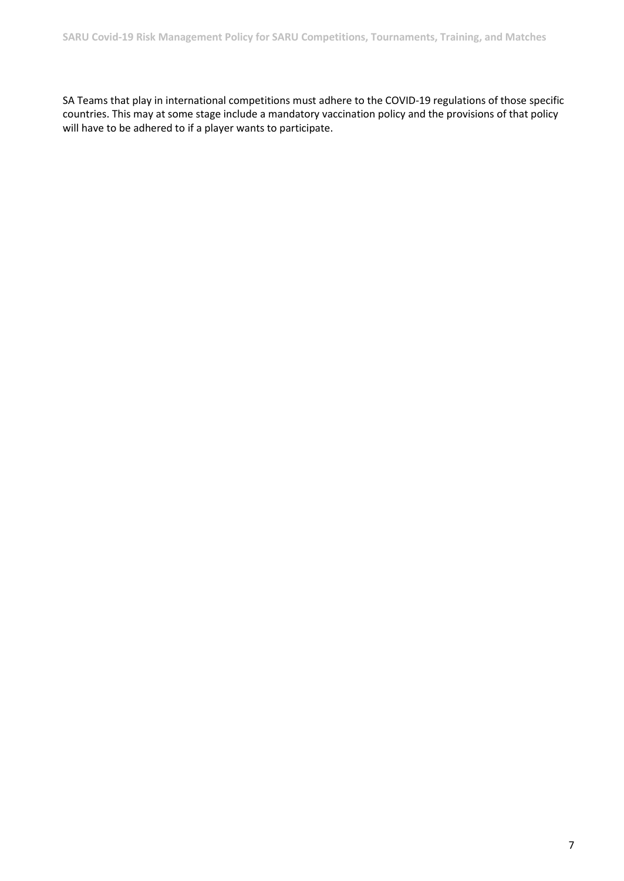SA Teams that play in international competitions must adhere to the COVID-19 regulations of those specific countries. This may at some stage include a mandatory vaccination policy and the provisions of that policy will have to be adhered to if a player wants to participate.